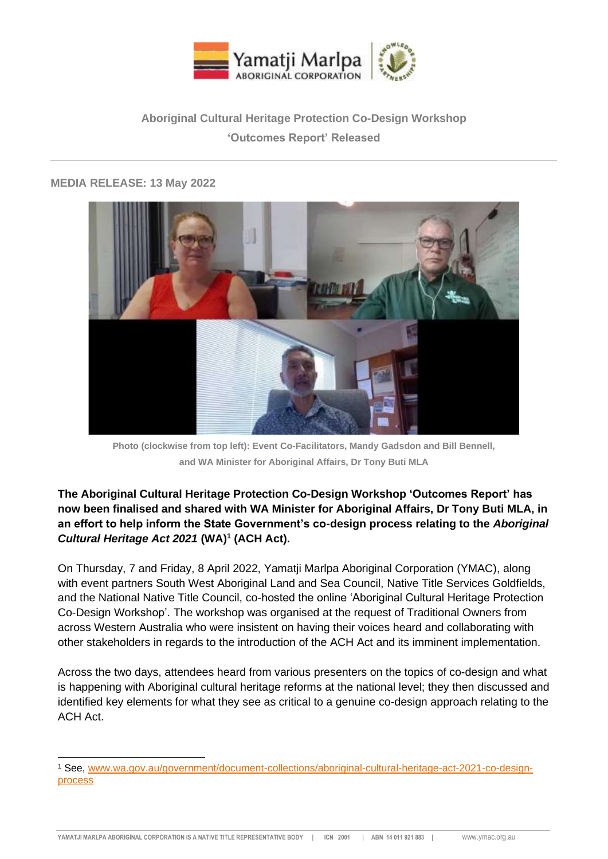

# **Aboriginal Cultural Heritage Protection Co-Design Workshop 'Outcomes Report' Released**

## **MEDIA RELEASE: 13 May 2022**



**Photo (clockwise from top left): Event Co-Facilitators, Mandy Gadsdon and Bill Bennell, and WA Minister for Aboriginal Affairs, Dr Tony Buti MLA**

**The Aboriginal Cultural Heritage Protection Co-Design Workshop 'Outcomes Report' has now been finalised and shared with WA Minister for Aboriginal Affairs, Dr Tony Buti MLA, in an effort to help inform the State Government's co-design process relating to the** *Aboriginal Cultural Heritage Act 2021* **(WA)<sup>1</sup> (ACH Act).**

On Thursday, 7 and Friday, 8 April 2022, Yamatji Marlpa Aboriginal Corporation (YMAC), along with event partners South West Aboriginal Land and Sea Council, Native Title Services Goldfields, and the National Native Title Council, co-hosted the online 'Aboriginal Cultural Heritage Protection Co-Design Workshop'. The workshop was organised at the request of Traditional Owners from across Western Australia who were insistent on having their voices heard and collaborating with other stakeholders in regards to the introduction of the ACH Act and its imminent implementation.

Across the two days, attendees heard from various presenters on the topics of co-design and what is happening with Aboriginal cultural heritage reforms at the national level; they then discussed and identified key elements for what they see as critical to a genuine co-design approach relating to the ACH Act.

<sup>1</sup> See, [www.wa.gov.au/government/document-collections/aboriginal-cultural-heritage-act-2021-co-design](http://www.wa.gov.au/government/document-collections/aboriginal-cultural-heritage-act-2021-co-design-process)[process](http://www.wa.gov.au/government/document-collections/aboriginal-cultural-heritage-act-2021-co-design-process)